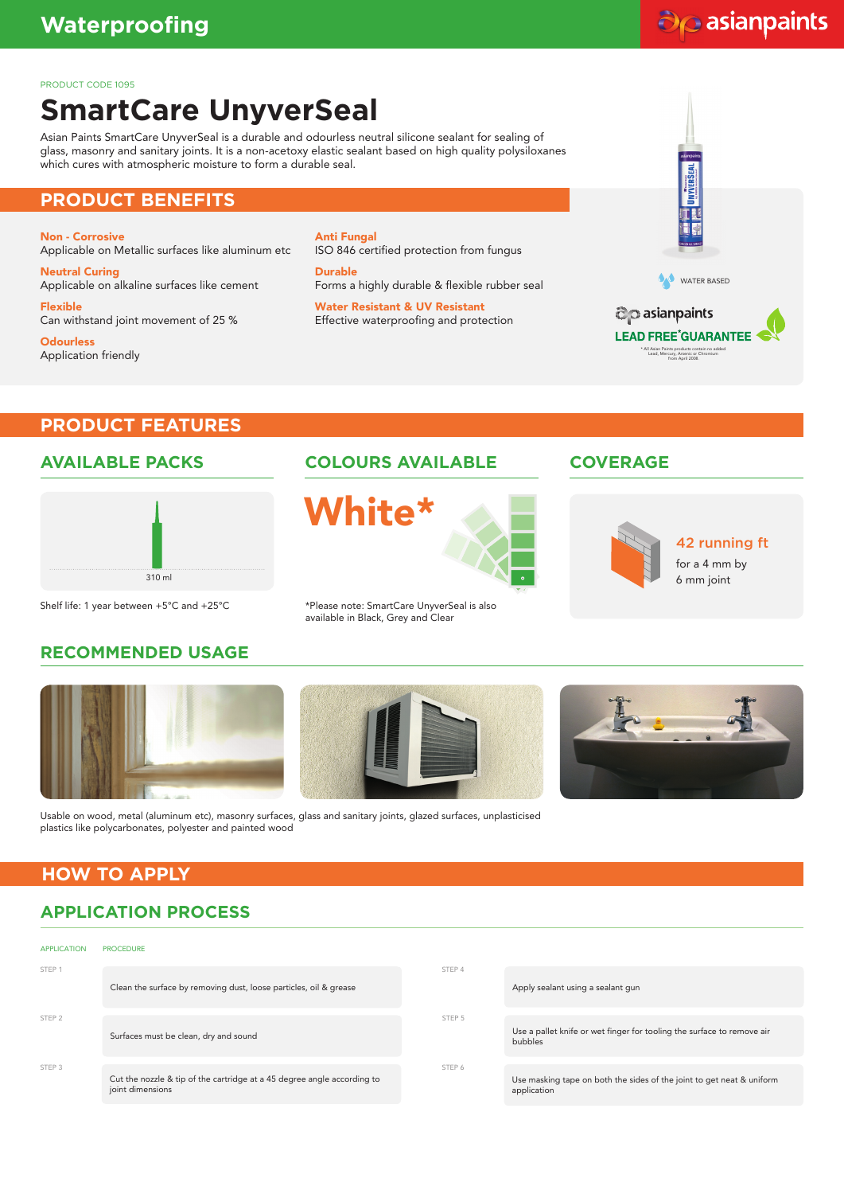## do asianpaints

#### PRODUCT CODE 1095

# **SmartCare UnyverSeal**

Asian Paints SmartCare UnyverSeal is a durable and odourless neutral silicone sealant for sealing of glass, masonry and sanitary joints. It is a non-acetoxy elastic sealant based on high quality polysiloxanes which cures with atmospheric moisture to form a durable seal.

### **PRODUCT BENEFITS**

Non - Corrosive Applicable on Metallic surfaces like aluminum etc

Neutral Curing Applicable on alkaline surfaces like cement Flexible

Can withstand joint movement of 25 %

**Odourless** Application friendly Anti Fungal ISO 846 certified protection from fungus

**Durable** Forms a highly durable & flexible rubber seal

Water Resistant & UV Resistant Effective waterproofing and protection



## **PRODUCT FEATURES**

#### **AVAILABLE PACKS**



Shelf life: 1 year between +5°C and +25°C

## **RECOMMENDED USAGE**





\*Please note: SmartCare UnyverSeal is also available in Black, Grey and Clear

## **COLOURS AVAILABLE COVERAGE**



42 running ft

for a 4 mm by 6 mm joint







Usable on wood, metal (aluminum etc), masonry surfaces, glass and sanitary joints, glazed surfaces, unplasticised plastics like polycarbonates, polyester and painted wood

#### **HOW TO APPLY**

## **APPLICATION PROCESS**

| <b>APPLICATION</b> | <b>PROCEDURE</b>                                                                            |        |                                                                                      |
|--------------------|---------------------------------------------------------------------------------------------|--------|--------------------------------------------------------------------------------------|
| STEP <sub>1</sub>  | Clean the surface by removing dust, loose particles, oil & grease                           | STEP 4 | Apply sealant using a sealant gun                                                    |
| STEP <sub>2</sub>  | Surfaces must be clean, dry and sound                                                       | STEP 5 | Use a pallet knife or wet finger for tooling the surface to remove air<br>bubbles    |
| STEP 3             | Cut the nozzle & tip of the cartridge at a 45 degree angle according to<br>joint dimensions | STEP 6 | Use masking tape on both the sides of the joint to get neat & uniform<br>application |